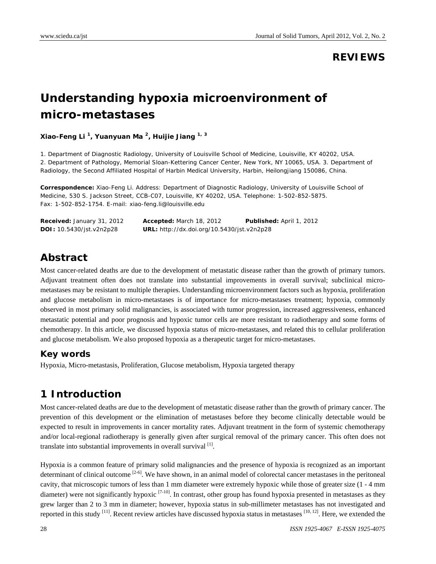### **REVIEWS**

# **Understanding hypoxia microenvironment of micro-metastases**

**Xiao-Feng Li 1, Yuanyuan Ma 2, Huijie Jiang 1, <sup>3</sup>**

1. Department of Diagnostic Radiology, University of Louisville School of Medicine, Louisville, KY 40202, USA. 2. Department of Pathology, Memorial Sloan-Kettering Cancer Center, New York, NY 10065, USA. 3. Department of Radiology, the Second Affiliated Hospital of Harbin Medical University, Harbin, Heilongjiang 150086, China.

**Correspondence:** Xiao-Feng Li. Address: Department of Diagnostic Radiology, University of Louisville School of Medicine, 530 S. Jackson Street, CCB-C07, Louisville, KY 40202, USA. Telephone: 1-502-852-5875. Fax: 1-502-852-1754. E-mail: xiao-feng.li@louisville.edu

| <b>Received:</b> January 31, 2012 | <b>Accepted:</b> March 18, 2012                   | Published: April 1, 2012 |
|-----------------------------------|---------------------------------------------------|--------------------------|
| <b>DOI:</b> 10.5430/jst.v2n2p28   | <b>URL:</b> http://dx.doi.org/10.5430/jst.v2n2p28 |                          |

# **Abstract**

Most cancer-related deaths are due to the development of metastatic disease rather than the growth of primary tumors. Adjuvant treatment often does not translate into substantial improvements in overall survival; subclinical micrometastases may be resistant to multiple therapies. Understanding microenvironment factors such as hypoxia, proliferation and glucose metabolism in micro-metastases is of importance for micro-metastases treatment; hypoxia, commonly observed in most primary solid malignancies, is associated with tumor progression, increased aggressiveness, enhanced metastatic potential and poor prognosis and hypoxic tumor cells are more resistant to radiotherapy and some forms of chemotherapy. In this article, we discussed hypoxia status of micro-metastases, and related this to cellular proliferation and glucose metabolism. We also proposed hypoxia as a therapeutic target for micro-metastases.

#### **Key words**

Hypoxia, Micro-metastasis, Proliferation, Glucose metabolism, Hypoxia targeted therapy

# **1 Introduction**

Most cancer-related deaths are due to the development of metastatic disease rather than the growth of primary cancer. The prevention of this development or the elimination of metastases before they become clinically detectable would be expected to result in improvements in cancer mortality rates. Adjuvant treatment in the form of systemic chemotherapy and/or local-regional radiotherapy is generally given after surgical removal of the primary cancer. This often does not translate into substantial improvements in overall survival  $[1]$ .

Hypoxia is a common feature of primary solid malignancies and the presence of hypoxia is recognized as an important determinant of clinical outcome <sup>[2-6]</sup>. We have shown, in an animal model of colorectal cancer metastases in the peritoneal cavity, that microscopic tumors of less than 1 mm diameter were extremely hypoxic while those of greater size (1 - 4 mm diameter) were not significantly hypoxic  $[7-10]$ . In contrast, other group has found hypoxia presented in metastases as they grew larger than 2 to 3 mm in diameter; however, hypoxia status in sub-millimeter metastases has not investigated and reported in this study  $[11]$ . Recent review articles have discussed hypoxia status in metastases  $[10, 12]$ . Here, we extended the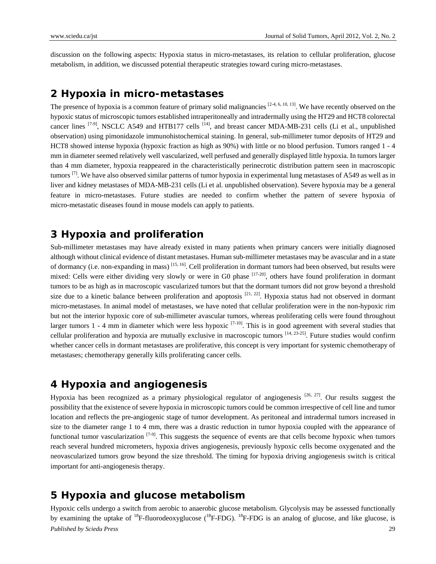discussion on the following aspects: Hypoxia status in micro-metastases, its relation to cellular proliferation, glucose metabolism, in addition, we discussed potential therapeutic strategies toward curing micro-metastases.

#### **2 Hypoxia in micro-metastases**

The presence of hypoxia is a common feature of primary solid malignancies  $[2-4, 6, 10, 13]$ . We have recently observed on the hypoxic status of microscopic tumors established intraperitoneally and intradermally using the HT29 and HCT8 colorectal cancer lines <sup>[7-9]</sup>, NSCLC A549 and HTB177 cells <sup>[14]</sup>, and breast cancer MDA-MB-231 cells (Li et al., unpublished observation) using pimonidazole immunohistochemical staining. In general, sub-millimeter tumor deposits of HT29 and HCT8 showed intense hypoxia (hypoxic fraction as high as 90%) with little or no blood perfusion. Tumors ranged 1 - 4 mm in diameter seemed relatively well vascularized, well perfused and generally displayed little hypoxia. In tumors larger than 4 mm diameter, hypoxia reappeared in the characteristically perinecrotic distribution pattern seen in macroscopic tumors  $^{[7]}$ . We have also observed similar patterns of tumor hypoxia in experimental lung metastases of A549 as well as in liver and kidney metastases of MDA-MB-231 cells (Li et al. unpublished observation). Severe hypoxia may be a general feature in micro-metastases. Future studies are needed to confirm whether the pattern of severe hypoxia of micro-metastatic diseases found in mouse models can apply to patients.

# **3 Hypoxia and proliferation**

Sub-millimeter metastases may have already existed in many patients when primary cancers were initially diagnosed although without clinical evidence of distant metastases. Human sub-millimeter metastases may be avascular and in a state of dormancy (i.e. non-expanding in mass) [15, 16]. Cell proliferation in dormant tumors had been observed, but results were mixed: Cells were either dividing very slowly or were in G0 phase <sup>[17-20]</sup>, others have found proliferation in dormant tumors to be as high as in macroscopic vascularized tumors but that the dormant tumors did not grow beyond a threshold size due to a kinetic balance between proliferation and apoptosis  $[21, 22]$ . Hypoxia status had not observed in dormant micro-metastases. In animal model of metastases, we have noted that cellular proliferation were in the non-hypoxic rim but not the interior hypoxic core of sub-millimeter avascular tumors, whereas proliferating cells were found throughout larger tumors 1 - 4 mm in diameter which were less hypoxic  $[7-10]$ . This is in good agreement with several studies that cellular proliferation and hypoxia are mutually exclusive in macroscopic tumors  $[14, 23-25]$ . Future studies would confirm whether cancer cells in dormant metastases are proliferative, this concept is very important for systemic chemotherapy of metastases; chemotherapy generally kills proliferating cancer cells.

# **4 Hypoxia and angiogenesis**

Hypoxia has been recognized as a primary physiological regulator of angiogenesis  $[26, 27]$ . Our results suggest the possibility that the existence of severe hypoxia in microscopic tumors could be common irrespective of cell line and tumor location and reflects the pre-angiogenic stage of tumor development. As peritoneal and intradermal tumors increased in size to the diameter range 1 to 4 mm, there was a drastic reduction in tumor hypoxia coupled with the appearance of functional tumor vascularization  $[7-9]$ . This suggests the sequence of events are that cells become hypoxic when tumors reach several hundred micrometers, hypoxia drives angiogenesis, previously hypoxic cells become oxygenated and the neovascularized tumors grow beyond the size threshold. The timing for hypoxia driving angiogenesis switch is critical important for anti-angiogenesis therapy.

# **5 Hypoxia and glucose metabolism**

*Published by Sciedu Press* 29 Hypoxic cells undergo a switch from aerobic to anaerobic glucose metabolism. Glycolysis may be assessed functionally by examining the uptake of <sup>18</sup>F-fluorodeoxyglucose (<sup>18</sup>F-FDG). <sup>18</sup>F-FDG is an analog of glucose, and like glucose, is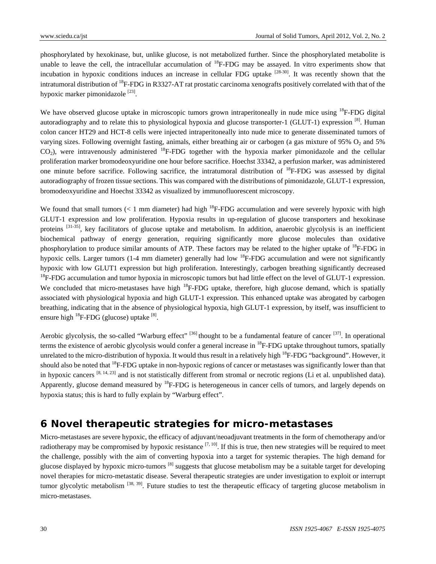phosphorylated by hexokinase, but, unlike glucose, is not metabolized further. Since the phosphorylated metabolite is unable to leave the cell, the intracellular accumulation of  $^{18}$ F-FDG may be assayed. In vitro experiments show that incubation in hypoxic conditions induces an increase in cellular FDG uptake  $^{[28-30]}$ . It was recently shown that the intratumoral distribution of 18F-FDG in R3327-AT rat prostatic carcinoma xenografts positively correlated with that of the hypoxic marker pimonidazole  $^{[23]}$ .

We have observed glucose uptake in microscopic tumors grown intraperitoneally in nude mice using <sup>18</sup>F-FDG digital autoradiography and to relate this to physiological hypoxia and glucose transporter-1 (GLUT-1) expression [8]. Human colon cancer HT29 and HCT-8 cells were injected intraperitoneally into nude mice to generate disseminated tumors of varying sizes. Following overnight fasting, animals, either breathing air or carbogen (a gas mixture of 95%  $O_2$  and 5%  $CO<sub>2</sub>$ ), were intravenously administered <sup>18</sup>F-FDG together with the hypoxia marker pimonidazole and the cellular proliferation marker bromodeoxyuridine one hour before sacrifice. Hoechst 33342, a perfusion marker, was administered one minute before sacrifice. Following sacrifice, the intratumoral distribution of <sup>18</sup>F-FDG was assessed by digital autoradiography of frozen tissue sections. This was compared with the distributions of pimonidazole, GLUT-1 expression, bromodeoxyuridine and Hoechst 33342 as visualized by immunofluorescent microscopy.

We found that small tumors  $(< 1 \text{ mm diameter})$  had high <sup>18</sup>F-FDG accumulation and were severely hypoxic with high GLUT-1 expression and low proliferation. Hypoxia results in up-regulation of glucose transporters and hexokinase proteins  $^{[31-35]}$ , key facilitators of glucose uptake and metabolism. In addition, anaerobic glycolysis is an inefficient biochemical pathway of energy generation, requiring significantly more glucose molecules than oxidative phosphorylation to produce similar amounts of ATP. These factors may be related to the higher uptake of <sup>18</sup>F-FDG in hypoxic cells. Larger tumors (1-4 mm diameter) generally had low <sup>18</sup>F-FDG accumulation and were not significantly hypoxic with low GLUT1 expression but high proliferation. Interestingly, carbogen breathing significantly decreased  $18$ F-FDG accumulation and tumor hypoxia in microscopic tumors but had little effect on the level of GLUT-1 expression. We concluded that micro-metastases have high <sup>18</sup>F-FDG uptake, therefore, high glucose demand, which is spatially associated with physiological hypoxia and high GLUT-1 expression. This enhanced uptake was abrogated by carbogen breathing, indicating that in the absence of physiological hypoxia, high GLUT-1 expression, by itself, was insufficient to ensure high  ${}^{18}$ F-FDG (glucose) uptake  $[8]$ .

Aerobic glycolysis, the so-called "Warburg effect"  $^{[36]}$  thought to be a fundamental feature of cancer  $^{[37]}$ . In operational terms the existence of aerobic glycolysis would confer a general increase in <sup>18</sup>F-FDG uptake throughout tumors, spatially unrelated to the micro-distribution of hypoxia. It would thus result in a relatively high  ${}^{18}F$ -FDG "background". However, it should also be noted that <sup>18</sup>F-FDG uptake in non-hypoxic regions of cancer or metastases was significantly lower than that in hypoxic cancers  $[8, 14, 23]$  and is not statistically different from stromal or necrotic regions (Li et al. unpublished data). Apparently, glucose demand measured by  ${}^{18}F$ -FDG is heterogeneous in cancer cells of tumors, and largely depends on hypoxia status; this is hard to fully explain by "Warburg effect".

# **6 Novel therapeutic strategies for micro-metastases**

Micro-metastases are severe hypoxic, the efficacy of adjuvant/neoadjuvant treatments in the form of chemotherapy and/or radiotherapy may be compromised by hypoxic resistance  $[7, 10]$ . If this is true, then new strategies will be required to meet the challenge, possibly with the aim of converting hypoxia into a target for systemic therapies. The high demand for glucose displayed by hypoxic micro-tumors<sup>[8]</sup> suggests that glucose metabolism may be a suitable target for developing novel therapies for micro-metastatic disease. Several therapeutic strategies are under investigation to exploit or interrupt tumor glycolytic metabolism <sup>[38, 39]</sup>. Future studies to test the therapeutic efficacy of targeting glucose metabolism in micro-metastases.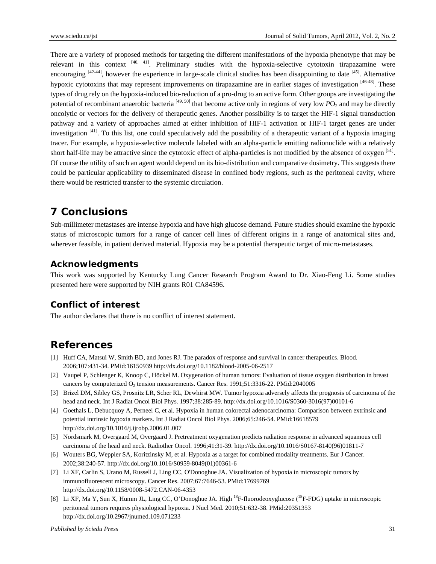There are a variety of proposed methods for targeting the different manifestations of the hypoxia phenotype that may be relevant in this context  $[40, 41]$ . Preliminary studies with the hypoxia-selective cytotoxin tirapazamine were encouraging  $[42-44]$ , however the experience in large-scale clinical studies has been disappointing to date  $[45]$ . Alternative hypoxic cytotoxins that may represent improvements on tirapazamine are in earlier stages of investigation [46-48]. These types of drug rely on the hypoxia-induced bio-reduction of a pro-drug to an active form. Other groups are investigating the potential of recombinant anaerobic bacteria  $[49, 50]$  that become active only in regions of very low *P*O<sub>2</sub> and may be directly oncolytic or vectors for the delivery of therapeutic genes. Another possibility is to target the HIF-1 signal transduction pathway and a variety of approaches aimed at either inhibition of HIF-1 activation or HIF-1 target genes are under investigation  $[41]$ . To this list, one could speculatively add the possibility of a therapeutic variant of a hypoxia imaging tracer. For example, a hypoxia-selective molecule labeled with an alpha-particle emitting radionuclide with a relatively short half-life may be attractive since the cytotoxic effect of alpha-particles is not modified by the absence of oxygen [51]. Of course the utility of such an agent would depend on its bio-distribution and comparative dosimetry. This suggests there could be particular applicability to disseminated disease in confined body regions, such as the peritoneal cavity, where there would be restricted transfer to the systemic circulation.

# **7 Conclusions**

Sub-millimeter metastases are intense hypoxia and have high glucose demand. Future studies should examine the hypoxic status of microscopic tumors for a range of cancer cell lines of different origins in a range of anatomical sites and, wherever feasible, in patient derived material. Hypoxia may be a potential therapeutic target of micro-metastases.

### **Acknowledgments**

This work was supported by Kentucky Lung Cancer Research Program Award to Dr. Xiao-Feng Li. Some studies presented here were supported by NIH grants R01 CA84596.

### **Conflict of interest**

The author declares that there is no conflict of interest statement.

# **References**

- [1] Huff CA, Matsui W, Smith BD, and Jones RJ. The paradox of response and survival in cancer therapeutics. Blood. 2006;107:431-34. PMid:16150939 http://dx.doi.org/10.1182/blood-2005-06-2517
- [2] Vaupel P, Schlenger K, Knoop C, Höckel M. Oxygenation of human tumors: Evaluation of tissue oxygen distribution in breast cancers by computerized  $O<sub>2</sub>$  tension measurements. Cancer Res. 1991;51:3316-22. PMid:2040005
- [3] Brizel DM, Sibley GS, Prosnitz LR, Scher RL, Dewhirst MW. Tumor hypoxia adversely affects the prognosis of carcinoma of the head and neck. Int J Radiat Oncol Biol Phys. 1997;38:285-89. http://dx.doi.org/10.1016/S0360-3016(97)00101-6
- [4] Goethals L, Debucquoy A, Perneel C, et al. Hypoxia in human colorectal adenocarcinoma: Comparison between extrinsic and potential intrinsic hypoxia markers. Int J Radiat Oncol Biol Phys. 2006;65:246-54. PMid:16618579 http://dx.doi.org/10.1016/j.ijrobp.2006.01.007
- [5] Nordsmark M, Overgaard M, Overgaard J. Pretreatment oxygenation predicts radiation response in advanced squamous cell carcinoma of the head and neck. Radiother Oncol. 1996;41:31-39. http://dx.doi.org/10.1016/S0167-8140(96)01811-7
- [6] Wouters BG, Weppler SA, Koritzinsky M, et al. Hypoxia as a target for combined modality treatments. Eur J Cancer. 2002;38:240-57. http://dx.doi.org/10.1016/S0959-8049(01)00361-6
- [7] Li XF, Carlin S, Urano M, Russell J, Ling CC, O'Donoghue JA. Visualization of hypoxia in microscopic tumors by immunofluorescent microscopy. Cancer Res. 2007;67:7646-53. PMid:17699769 http://dx.doi.org/10.1158/0008-5472.CAN-06-4353
- [8] Li XF, Ma Y, Sun X, Humm JL, Ling CC, O'Donoghue JA. High <sup>18</sup>F-fluorodeoxyglucose (<sup>18</sup>F-FDG) uptake in microscopic peritoneal tumors requires physiological hypoxia. J Nucl Med. 2010;51:632-38. PMid:20351353 http://dx.doi.org/10.2967/jnumed.109.071233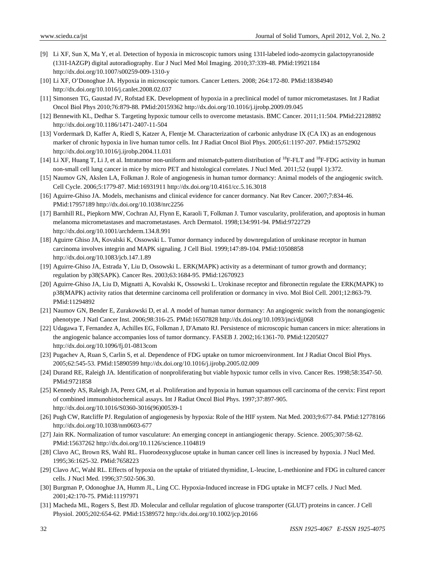- [9] Li XF, Sun X, Ma Y, et al. Detection of hypoxia in microscopic tumors using 131I-labeled iodo-azomycin galactopyranoside (131I-IAZGP) digital autoradiography. Eur J Nucl Med Mol Imaging. 2010;37:339-48. PMid:19921184 http://dx.doi.org/10.1007/s00259-009-1310-y
- [10] Li XF, O'Donoghue JA. Hypoxia in microscopic tumors. Cancer Letters. 2008; 264:172-80. PMid:18384940 http://dx.doi.org/10.1016/j.canlet.2008.02.037
- [11] Simonsen TG, Gaustad JV, Rofstad EK. Development of hypoxia in a preclinical model of tumor micrometastases. Int J Radiat Oncol Biol Phys 2010;76:879-88. PMid:20159362 http://dx.doi.org/10.1016/j.ijrobp.2009.09.045
- [12] Bennewith KL, Dedhar S. Targeting hypoxic tumour cells to overcome metastasis. BMC Cancer. 2011;11:504. PMid:22128892 http://dx.doi.org/10.1186/1471-2407-11-504
- [13] Vordermark D, Kaffer A, Riedl S, Katzer A, Flentje M. Characterization of carbonic anhydrase IX (CA IX) as an endogenous marker of chronic hypoxia in live human tumor cells. Int J Radiat Oncol Biol Phys. 2005;61:1197-207. PMid:15752902 http://dx.doi.org/10.1016/j.ijrobp.2004.11.031
- [14] Li XF, Huang T, Li J, et al. Intratumor non-uniform and mismatch-pattern distribution of <sup>18</sup>F-FLT and <sup>18</sup>F-FDG activity in human non-small cell lung cancer in mice by micro PET and histological correlates. J Nucl Med. 2011;52 (suppl 1):372.
- [15] Naumov GN, Akslen LA, Folkman J. Role of angiogenesis in human tumor dormancy: Animal models of the angiogenic switch. Cell Cycle. 2006;5:1779-87. Mid:16931911 http://dx.doi.org/10.4161/cc.5.16.3018
- [16] Aguirre-Ghiso JA. Models, mechanisms and clinical evidence for cancer dormancy. Nat Rev Cancer. 2007;7:834-46. PMid:17957189 http://dx.doi.org/10.1038/nrc2256
- [17] Barnhill RL, Piepkorn MW, Cochran AJ, Flynn E, Karaoli T, Folkman J. Tumor vascularity, proliferation, and apoptosis in human melanoma micrometastases and macrometastases. Arch Dermatol. 1998;134:991-94. PMid:9722729 http://dx.doi.org/10.1001/archderm.134.8.991
- [18] Aguirre Ghiso JA, Kovalski K, Ossowski L. Tumor dormancy induced by downregulation of urokinase receptor in human carcinoma involves integrin and MAPK signaling. J Cell Biol. 1999;147:89-104. PMid:10508858 http://dx.doi.org/10.1083/jcb.147.1.89
- [19] Aguirre-Ghiso JA, Estrada Y, Liu D, Ossowski L. ERK(MAPK) activity as a determinant of tumor growth and dormancy; regulation by p38(SAPK). Cancer Res. 2003;63:1684-95. PMid:12670923
- [20] Aguirre-Ghiso JA, Liu D, Mignatti A, Kovalski K, Ossowski L. Urokinase receptor and fibronectin regulate the ERK(MAPK) to p38(MAPK) activity ratios that determine carcinoma cell proliferation or dormancy in vivo. Mol Biol Cell. 2001;12:863-79. PMid:11294892
- [21] Naumov GN, Bender E, Zurakowski D, et al. A model of human tumor dormancy: An angiogenic switch from the nonangiogenic phenotype. J Natl Cancer Inst. 2006;98:316-25. PMid:16507828 http://dx.doi.org/10.1093/jnci/djj068
- [22] Udagawa T, Fernandez A, Achilles EG, Folkman J, D'Amato RJ. Persistence of microscopic human cancers in mice: alterations in the angiogenic balance accompanies loss of tumor dormancy. FASEB J. 2002;16:1361-70. PMid:12205027 http://dx.doi.org/10.1096/fj.01-0813com
- [23] Pugachev A, Ruan S, Carlin S, et al. Dependence of FDG uptake on tumor microenvironment. Int J Radiat Oncol Biol Phys. 2005;62:545-53. PMid:15890599 http://dx.doi.org/10.1016/j.ijrobp.2005.02.009
- [24] Durand RE, Raleigh JA. Identification of nonproliferating but viable hypoxic tumor cells in vivo. Cancer Res. 1998;58:3547-50. PMid:9721858
- [25] Kennedy AS, Raleigh JA, Perez GM, et al. Proliferation and hypoxia in human squamous cell carcinoma of the cervix: First report of combined immunohistochemical assays. Int J Radiat Oncol Biol Phys. 1997;37:897-905. http://dx.doi.org/10.1016/S0360-3016(96)00539-1
- [26] Pugh CW, Ratcliffe PJ. Regulation of angiogenesis by hypoxia: Role of the HIF system. Nat Med. 2003;9:677-84. PMid:12778166 http://dx.doi.org/10.1038/nm0603-677
- [27] Jain RK. Normalization of tumor vasculature: An emerging concept in antiangiogenic therapy. Science. 2005;307:58-62. PMid:15637262 http://dx.doi.org/10.1126/science.1104819
- [28] Clavo AC, Brown RS, Wahl RL. Fluorodeoxyglucose uptake in human cancer cell lines is increased by hypoxia. J Nucl Med. 1995;36:1625-32. PMid:7658223
- [29] Clavo AC, Wahl RL. Effects of hypoxia on the uptake of tritiated thymidine, L-leucine, L-methionine and FDG in cultured cancer cells. J Nucl Med. 1996;37:502-506.30.
- [30] Burgman P, Odonoghue JA, Humm JL, Ling CC. Hypoxia-Induced increase in FDG uptake in MCF7 cells. J Nucl Med. 2001;42:170-75. PMid:11197971
- [31] Macheda ML, Rogers S, Best JD. Molecular and cellular regulation of glucose transporter (GLUT) proteins in cancer. J Cell Physiol. 2005;202:654-62. PMid:15389572 http://dx.doi.org/10.1002/jcp.20166